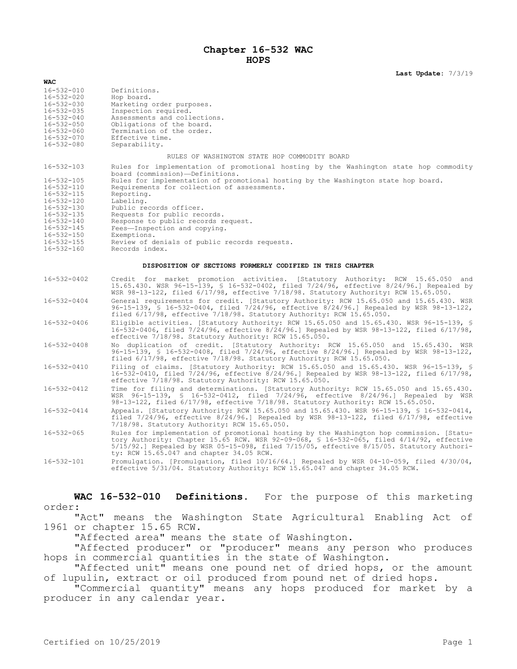# **Chapter 16-532 WAC HOPS**

**Last Update:** 7/3/19

| <b>WAC</b>                                                |                                                                                                                                                                                                                                                                                                                                   |
|-----------------------------------------------------------|-----------------------------------------------------------------------------------------------------------------------------------------------------------------------------------------------------------------------------------------------------------------------------------------------------------------------------------|
| $16 - 532 - 010$                                          | Definitions.                                                                                                                                                                                                                                                                                                                      |
| $16 - 532 - 020$                                          | Hop board.                                                                                                                                                                                                                                                                                                                        |
| $16 - 532 - 030$                                          | Marketing order purposes.                                                                                                                                                                                                                                                                                                         |
| $16 - 532 - 035$                                          | Inspection required.                                                                                                                                                                                                                                                                                                              |
| $16 - 532 - 040$                                          | Assessments and collections.                                                                                                                                                                                                                                                                                                      |
| $16 - 532 - 050$                                          | Obligations of the board.                                                                                                                                                                                                                                                                                                         |
| $16 - 532 - 060$                                          | Termination of the order.                                                                                                                                                                                                                                                                                                         |
| $16 - 532 - 070$                                          | Effective time.                                                                                                                                                                                                                                                                                                                   |
| $16 - 532 - 080$                                          | Separability.                                                                                                                                                                                                                                                                                                                     |
|                                                           |                                                                                                                                                                                                                                                                                                                                   |
|                                                           | RULES OF WASHINGTON STATE HOP COMMODITY BOARD                                                                                                                                                                                                                                                                                     |
| $16 - 532 - 103$                                          | Rules for implementation of promotional hosting by the Washington state hop commodity<br>board (commission)-Definitions.                                                                                                                                                                                                          |
| $16 - 532 - 105$                                          | Rules for implementation of promotional hosting by the Washington state hop board.                                                                                                                                                                                                                                                |
| 16-532-110                                                | Requirements for collection of assessments.                                                                                                                                                                                                                                                                                       |
| 16-532-115                                                | Reporting.                                                                                                                                                                                                                                                                                                                        |
| $16 - 532 - 120$                                          | Labeling.                                                                                                                                                                                                                                                                                                                         |
| $16 - 532 - 130$                                          | Public records officer.                                                                                                                                                                                                                                                                                                           |
| $16 - 532 - 135$                                          | Requests for public records.                                                                                                                                                                                                                                                                                                      |
| $16 - 532 - 140$                                          | Response to public records request.                                                                                                                                                                                                                                                                                               |
| $16 - 532 - 145$                                          | Fees-Inspection and copying.                                                                                                                                                                                                                                                                                                      |
| $16 - 532 - 150$                                          | Exemptions.                                                                                                                                                                                                                                                                                                                       |
| $16 - 532 - 155$                                          | Review of denials of public records requests.                                                                                                                                                                                                                                                                                     |
| $16 - 532 - 160$                                          | Records index.                                                                                                                                                                                                                                                                                                                    |
|                                                           |                                                                                                                                                                                                                                                                                                                                   |
| DISPOSITION OF SECTIONS FORMERLY CODIFIED IN THIS CHAPTER |                                                                                                                                                                                                                                                                                                                                   |
| $16 - 532 - 0402$                                         | Credit for market promotion activities. [Statutory Authority: RCW 15.65.050 and<br>15.65.430. WSR 96-15-139, § 16-532-0402, filed 7/24/96, effective 8/24/96.] Repealed by<br>WSR 98-13-122, filed 6/17/98, effective 7/18/98. Statutory Authority: RCW 15.65.050.                                                                |
| 16-532-0404                                               | General requirements for credit. [Statutory Authority: RCW 15.65.050 and 15.65.430. WSR<br>96-15-139, \$ 16-532-0404, filed 7/24/96, effective 8/24/96.] Repealed by WSR 98-13-122,<br>filed $6/17/98$ , effective $7/18/98$ . Statutory Authority: RCW 15.65.050.                                                                |
| 16-532-0406                                               | Eligible activities. [Statutory Authority: RCW 15.65.050 and 15.65.430. WSR 96-15-139, §<br>16-532-0406, filed 7/24/96, effective 8/24/96.] Repealed by WSR 98-13-122, filed 6/17/98,<br>effective 7/18/98. Statutory Authority: RCW 15.65.050.                                                                                   |
| 16-532-0408                                               | No duplication of credit. [Statutory Authority: RCW 15.65.050 and 15.65.430. WSR<br>96-15-139, § 16-532-0408, filed 7/24/96, effective 8/24/96.] Repealed by WSR 98-13-122,<br>filed 6/17/98, effective 7/18/98. Statutory Authority: RCW 15.65.050.                                                                              |
| 16-532-0410                                               | Filing of claims. [Statutory Authority: RCW 15.65.050 and 15.65.430. WSR 96-15-139, §<br>$16-532-0410$ , filed $7/24/96$ , effective $8/24/96$ . Repealed by WSR 98-13-122, filed $6/17/98$ ,<br>effective 7/18/98. Statutory Authority: RCW 15.65.050.                                                                           |
| 16-532-0412                                               | Time for filing and determinations. [Statutory Authority: RCW 15.65.050 and 15.65.430.<br>WSR 96-15-139, § 16-532-0412, filed 7/24/96, effective 8/24/96.] Repealed by WSR<br>98-13-122, filed 6/17/98, effective 7/18/98. Statutory Authority: RCW 15.65.050.                                                                    |
| 16-532-0414                                               | Appeals. [Statutory Authority: RCW 15.65.050 and 15.65.430. WSR 96-15-139, § 16-532-0414,<br>filed $7/24/96$ , effective $8/24/96$ . Repealed by WSR $98-13-122$ , filed $6/17/98$ , effective<br>7/18/98. Statutory Authority: RCW 15.65.050.                                                                                    |
| $16 - 532 - 065$                                          | Rules for implementation of promotional hosting by the Washington hop commission. [Statu-<br>tory Authority: Chapter 15.65 RCW. WSR 92-09-068, § 16-532-065, filed 4/14/92, effective<br>$5/15/92$ .] Repealed by WSR 05-15-098, filed 7/15/05, effective 8/15/05. Statutory Authori-<br>ty: RCW 15.65.047 and chapter 34.05 RCW. |
| $16 - 532 - 101$                                          | Promulgation. [Promulgation, filed 10/16/64.] Repealed by WSR 04-10-059, filed 4/30/04,<br>effective 5/31/04. Statutory Authority: RCW 15.65.047 and chapter 34.05 RCW.                                                                                                                                                           |

**WAC 16-532-010 Definitions.** For the purpose of this marketing order:

"Act" means the Washington State Agricultural Enabling Act of 1961 or chapter 15.65 RCW.

"Affected area" means the state of Washington.

"Affected producer" or "producer" means any person who produces hops in commercial quantities in the state of Washington.

"Affected unit" means one pound net of dried hops, or the amount of lupulin, extract or oil produced from pound net of dried hops.

"Commercial quantity" means any hops produced for market by a producer in any calendar year.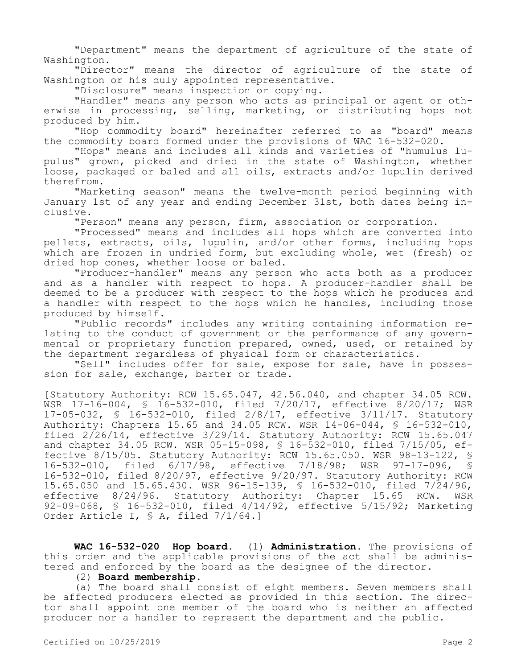"Department" means the department of agriculture of the state of Washington.

"Director" means the director of agriculture of the state of Washington or his duly appointed representative.

"Disclosure" means inspection or copying.

"Handler" means any person who acts as principal or agent or otherwise in processing, selling, marketing, or distributing hops not produced by him.

"Hop commodity board" hereinafter referred to as "board" means the commodity board formed under the provisions of WAC 16-532-020.

"Hops" means and includes all kinds and varieties of "humulus lupulus" grown, picked and dried in the state of Washington, whether loose, packaged or baled and all oils, extracts and/or lupulin derived therefrom.

"Marketing season" means the twelve-month period beginning with January 1st of any year and ending December 31st, both dates being inclusive.

"Person" means any person, firm, association or corporation.

"Processed" means and includes all hops which are converted into pellets, extracts, oils, lupulin, and/or other forms, including hops which are frozen in undried form, but excluding whole, wet (fresh) or dried hop cones, whether loose or baled.

"Producer-handler" means any person who acts both as a producer and as a handler with respect to hops. A producer-handler shall be deemed to be a producer with respect to the hops which he produces and a handler with respect to the hops which he handles, including those produced by himself.

"Public records" includes any writing containing information relating to the conduct of government or the performance of any governmental or proprietary function prepared, owned, used, or retained by the department regardless of physical form or characteristics.

"Sell" includes offer for sale, expose for sale, have in possession for sale, exchange, barter or trade.

[Statutory Authority: RCW 15.65.047, 42.56.040, and chapter 34.05 RCW. WSR 17-16-004, § 16-532-010, filed 7/20/17, effective 8/20/17; WSR 17-05-032, § 16-532-010, filed 2/8/17, effective 3/11/17. Statutory Authority: Chapters 15.65 and 34.05 RCW. WSR 14-06-044, § 16-532-010, filed 2/26/14, effective 3/29/14. Statutory Authority: RCW 15.65.047 and chapter 34.05 RCW. WSR 05-15-098, § 16-532-010, filed 7/15/05, effective 8/15/05. Statutory Authority: RCW 15.65.050. WSR 98-13-122, § 16-532-010, filed 6/17/98, effective 7/18/98; WSR 97-17-096, § 16-532-010, filed 8/20/97, effective 9/20/97. Statutory Authority: RCW 15.65.050 and 15.65.430. WSR 96-15-139, § 16-532-010, filed 7/24/96, effective 8/24/96. Statutory Authority: Chapter 15.65 RCW. WSR 92-09-068, § 16-532-010, filed 4/14/92, effective 5/15/92; Marketing Order Article I, § A, filed 7/1/64.]

**WAC 16-532-020 Hop board.** (1) **Administration.** The provisions of this order and the applicable provisions of the act shall be administered and enforced by the board as the designee of the director.

# (2) **Board membership.**

(a) The board shall consist of eight members. Seven members shall be affected producers elected as provided in this section. The director shall appoint one member of the board who is neither an affected producer nor a handler to represent the department and the public.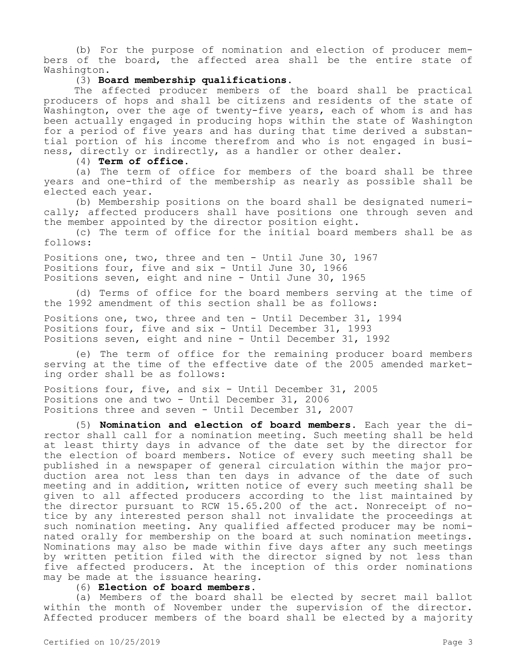(b) For the purpose of nomination and election of producer members of the board, the affected area shall be the entire state of Washington.

### (3) **Board membership qualifications.**

The affected producer members of the board shall be practical producers of hops and shall be citizens and residents of the state of Washington, over the age of twenty-five years, each of whom is and has been actually engaged in producing hops within the state of Washington for a period of five years and has during that time derived a substantial portion of his income therefrom and who is not engaged in business, directly or indirectly, as a handler or other dealer.

(4) **Term of office.**

(a) The term of office for members of the board shall be three years and one-third of the membership as nearly as possible shall be elected each year.

(b) Membership positions on the board shall be designated numerically; affected producers shall have positions one through seven and the member appointed by the director position eight.

(c) The term of office for the initial board members shall be as follows:

Positions one, two, three and ten - Until June 30, 1967 Positions four, five and six - Until June 30, 1966 Positions seven, eight and nine - Until June 30, 1965

(d) Terms of office for the board members serving at the time of the 1992 amendment of this section shall be as follows:

Positions one, two, three and ten - Until December 31, 1994 Positions four, five and six - Until December 31, 1993 Positions seven, eight and nine - Until December 31, 1992

(e) The term of office for the remaining producer board members serving at the time of the effective date of the 2005 amended marketing order shall be as follows:

Positions four, five, and six - Until December 31, 2005 Positions one and two - Until December 31, 2006 Positions three and seven - Until December 31, 2007

(5) **Nomination and election of board members.** Each year the director shall call for a nomination meeting. Such meeting shall be held at least thirty days in advance of the date set by the director for the election of board members. Notice of every such meeting shall be published in a newspaper of general circulation within the major production area not less than ten days in advance of the date of such meeting and in addition, written notice of every such meeting shall be given to all affected producers according to the list maintained by the director pursuant to RCW 15.65.200 of the act. Nonreceipt of notice by any interested person shall not invalidate the proceedings at such nomination meeting. Any qualified affected producer may be nominated orally for membership on the board at such nomination meetings. Nominations may also be made within five days after any such meetings by written petition filed with the director signed by not less than five affected producers. At the inception of this order nominations may be made at the issuance hearing.

(6) **Election of board members.**

(a) Members of the board shall be elected by secret mail ballot within the month of November under the supervision of the director. Affected producer members of the board shall be elected by a majority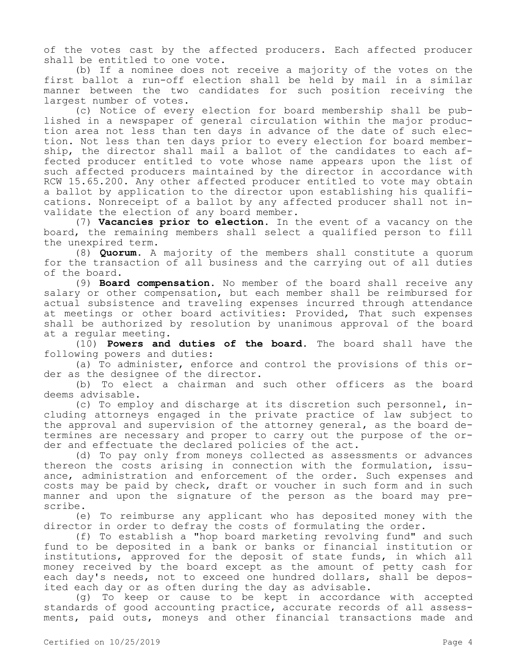of the votes cast by the affected producers. Each affected producer shall be entitled to one vote.

(b) If a nominee does not receive a majority of the votes on the first ballot a run-off election shall be held by mail in a similar manner between the two candidates for such position receiving the largest number of votes.

(c) Notice of every election for board membership shall be published in a newspaper of general circulation within the major production area not less than ten days in advance of the date of such election. Not less than ten days prior to every election for board membership, the director shall mail a ballot of the candidates to each affected producer entitled to vote whose name appears upon the list of such affected producers maintained by the director in accordance with RCW 15.65.200. Any other affected producer entitled to vote may obtain a ballot by application to the director upon establishing his qualifications. Nonreceipt of a ballot by any affected producer shall not invalidate the election of any board member.

(7) **Vacancies prior to election.** In the event of a vacancy on the board, the remaining members shall select a qualified person to fill the unexpired term.

(8) **Quorum.** A majority of the members shall constitute a quorum for the transaction of all business and the carrying out of all duties of the board.

(9) **Board compensation.** No member of the board shall receive any salary or other compensation, but each member shall be reimbursed for actual subsistence and traveling expenses incurred through attendance at meetings or other board activities: Provided, That such expenses shall be authorized by resolution by unanimous approval of the board at a regular meeting.

(10) **Powers and duties of the board.** The board shall have the following powers and duties:

(a) To administer, enforce and control the provisions of this order as the designee of the director.

(b) To elect a chairman and such other officers as the board deems advisable.

(c) To employ and discharge at its discretion such personnel, including attorneys engaged in the private practice of law subject to the approval and supervision of the attorney general, as the board determines are necessary and proper to carry out the purpose of the order and effectuate the declared policies of the act.

(d) To pay only from moneys collected as assessments or advances thereon the costs arising in connection with the formulation, issuance, administration and enforcement of the order. Such expenses and costs may be paid by check, draft or voucher in such form and in such manner and upon the signature of the person as the board may prescribe.

(e) To reimburse any applicant who has deposited money with the director in order to defray the costs of formulating the order.

(f) To establish a "hop board marketing revolving fund" and such fund to be deposited in a bank or banks or financial institution or institutions, approved for the deposit of state funds, in which all money received by the board except as the amount of petty cash for each day's needs, not to exceed one hundred dollars, shall be deposited each day or as often during the day as advisable.

(g) To keep or cause to be kept in accordance with accepted standards of good accounting practice, accurate records of all assessments, paid outs, moneys and other financial transactions made and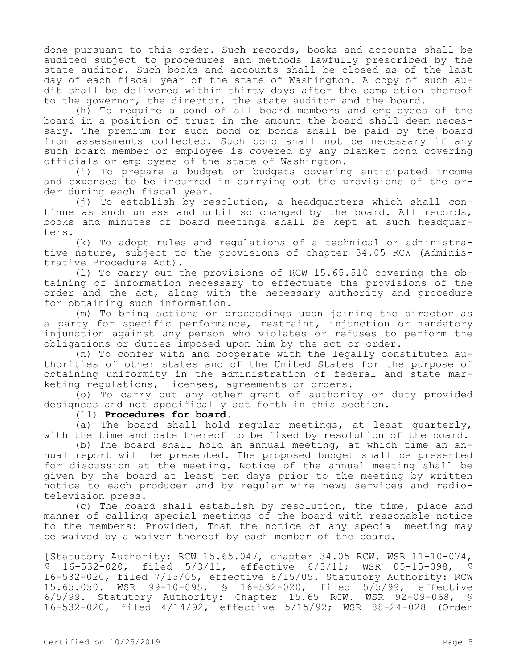done pursuant to this order. Such records, books and accounts shall be audited subject to procedures and methods lawfully prescribed by the state auditor. Such books and accounts shall be closed as of the last day of each fiscal year of the state of Washington. A copy of such audit shall be delivered within thirty days after the completion thereof to the governor, the director, the state auditor and the board.

(h) To require a bond of all board members and employees of the board in a position of trust in the amount the board shall deem necessary. The premium for such bond or bonds shall be paid by the board from assessments collected. Such bond shall not be necessary if any such board member or employee is covered by any blanket bond covering officials or employees of the state of Washington.

(i) To prepare a budget or budgets covering anticipated income and expenses to be incurred in carrying out the provisions of the order during each fiscal year.

(j) To establish by resolution, a headquarters which shall continue as such unless and until so changed by the board. All records, books and minutes of board meetings shall be kept at such headquarters.

(k) To adopt rules and regulations of a technical or administrative nature, subject to the provisions of chapter 34.05 RCW (Administrative Procedure Act).

(l) To carry out the provisions of RCW 15.65.510 covering the obtaining of information necessary to effectuate the provisions of the order and the act, along with the necessary authority and procedure for obtaining such information.

(m) To bring actions or proceedings upon joining the director as a party for specific performance, restraint, injunction or mandatory injunction against any person who violates or refuses to perform the obligations or duties imposed upon him by the act or order.

(n) To confer with and cooperate with the legally constituted authorities of other states and of the United States for the purpose of obtaining uniformity in the administration of federal and state marketing regulations, licenses, agreements or orders.

(o) To carry out any other grant of authority or duty provided designees and not specifically set forth in this section.

# (11) **Procedures for board.**

(a) The board shall hold regular meetings, at least quarterly, with the time and date thereof to be fixed by resolution of the board.

(b) The board shall hold an annual meeting, at which time an annual report will be presented. The proposed budget shall be presented for discussion at the meeting. Notice of the annual meeting shall be given by the board at least ten days prior to the meeting by written notice to each producer and by regular wire news services and radiotelevision press.

(c) The board shall establish by resolution, the time, place and manner of calling special meetings of the board with reasonable notice to the members: Provided, That the notice of any special meeting may be waived by a waiver thereof by each member of the board.

[Statutory Authority: RCW 15.65.047, chapter 34.05 RCW. WSR 11-10-074, § 16-532-020, filed 5/3/11, effective 6/3/11; WSR 05-15-098, § 16-532-020, filed 7/15/05, effective 8/15/05. Statutory Authority: RCW 15.65.050. WSR 99-10-095, § 16-532-020, filed 5/5/99, effective 6/5/99. Statutory Authority: Chapter 15.65 RCW. WSR 92-09-068, § 16-532-020, filed 4/14/92, effective 5/15/92; WSR 88-24-028 (Order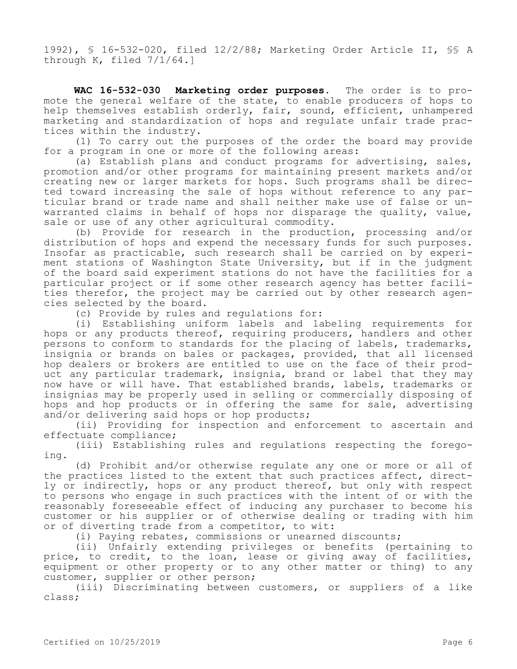1992), § 16-532-020, filed 12/2/88; Marketing Order Article II, §§ A through K, filed 7/1/64.]

**WAC 16-532-030 Marketing order purposes.** The order is to promote the general welfare of the state, to enable producers of hops to help themselves establish orderly, fair, sound, efficient, unhampered marketing and standardization of hops and regulate unfair trade practices within the industry.

(1) To carry out the purposes of the order the board may provide for a program in one or more of the following areas:

(a) Establish plans and conduct programs for advertising, sales, promotion and/or other programs for maintaining present markets and/or creating new or larger markets for hops. Such programs shall be directed toward increasing the sale of hops without reference to any particular brand or trade name and shall neither make use of false or unwarranted claims in behalf of hops nor disparage the quality, value, sale or use of any other agricultural commodity.

(b) Provide for research in the production, processing and/or distribution of hops and expend the necessary funds for such purposes. Insofar as practicable, such research shall be carried on by experiment stations of Washington State University, but if in the judgment of the board said experiment stations do not have the facilities for a particular project or if some other research agency has better facilities therefor, the project may be carried out by other research agencies selected by the board.

(c) Provide by rules and regulations for:

(i) Establishing uniform labels and labeling requirements for hops or any products thereof, requiring producers, handlers and other persons to conform to standards for the placing of labels, trademarks, insignia or brands on bales or packages, provided, that all licensed hop dealers or brokers are entitled to use on the face of their product any particular trademark, insignia, brand or label that they may now have or will have. That established brands, labels, trademarks or insignias may be properly used in selling or commercially disposing of hops and hop products or in offering the same for sale, advertising and/or delivering said hops or hop products;

(ii) Providing for inspection and enforcement to ascertain and effectuate compliance;

(iii) Establishing rules and regulations respecting the foregoing.

(d) Prohibit and/or otherwise regulate any one or more or all of the practices listed to the extent that such practices affect, directly or indirectly, hops or any product thereof, but only with respect to persons who engage in such practices with the intent of or with the reasonably foreseeable effect of inducing any purchaser to become his customer or his supplier or of otherwise dealing or trading with him or of diverting trade from a competitor, to wit:

(i) Paying rebates, commissions or unearned discounts;

(ii) Unfairly extending privileges or benefits (pertaining to price, to credit, to the loan, lease or giving away of facilities, equipment or other property or to any other matter or thing) to any customer, supplier or other person;

(iii) Discriminating between customers, or suppliers of a like class;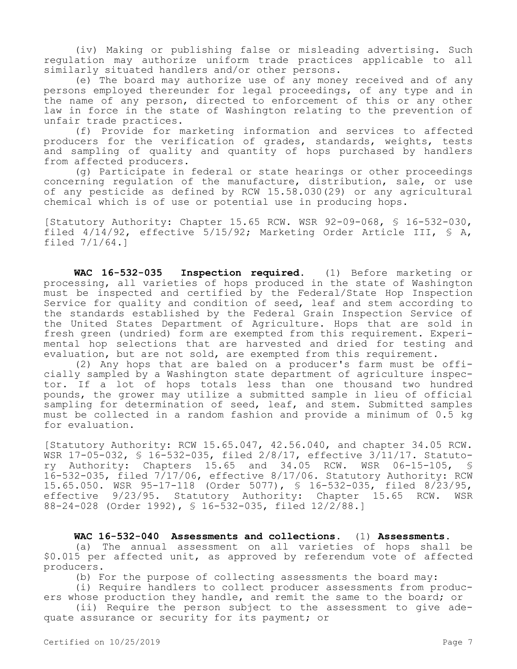(iv) Making or publishing false or misleading advertising. Such regulation may authorize uniform trade practices applicable to all similarly situated handlers and/or other persons.

(e) The board may authorize use of any money received and of any persons employed thereunder for legal proceedings, of any type and in the name of any person, directed to enforcement of this or any other law in force in the state of Washington relating to the prevention of unfair trade practices.

(f) Provide for marketing information and services to affected producers for the verification of grades, standards, weights, tests and sampling of quality and quantity of hops purchased by handlers from affected producers.

(g) Participate in federal or state hearings or other proceedings concerning regulation of the manufacture, distribution, sale, or use of any pesticide as defined by RCW 15.58.030(29) or any agricultural chemical which is of use or potential use in producing hops.

[Statutory Authority: Chapter 15.65 RCW. WSR 92-09-068, § 16-532-030, filed 4/14/92, effective 5/15/92; Marketing Order Article III, § A, filed 7/1/64.]

**WAC 16-532-035 Inspection required.** (1) Before marketing or processing, all varieties of hops produced in the state of Washington must be inspected and certified by the Federal/State Hop Inspection Service for quality and condition of seed, leaf and stem according to the standards established by the Federal Grain Inspection Service of the United States Department of Agriculture. Hops that are sold in fresh green (undried) form are exempted from this requirement. Experimental hop selections that are harvested and dried for testing and evaluation, but are not sold, are exempted from this requirement.

(2) Any hops that are baled on a producer's farm must be officially sampled by a Washington state department of agriculture inspector. If a lot of hops totals less than one thousand two hundred pounds, the grower may utilize a submitted sample in lieu of official sampling for determination of seed, leaf, and stem. Submitted samples must be collected in a random fashion and provide a minimum of 0.5 kg for evaluation.

[Statutory Authority: RCW 15.65.047, 42.56.040, and chapter 34.05 RCW. WSR 17-05-032, § 16-532-035, filed 2/8/17, effective 3/11/17. Statutory Authority: Chapters  $15.65$  and  $34.05$  RCW. WSR  $06-15-105$ , 16-532-035, filed 7/17/06, effective 8/17/06. Statutory Authority: RCW 15.65.050. WSR 95-17-118 (Order 5077), § 16-532-035, filed 8/23/95, effective 9/23/95. Statutory Authority: Chapter 15.65 RCW. WSR 88-24-028 (Order 1992), § 16-532-035, filed 12/2/88.]

**WAC 16-532-040 Assessments and collections.** (1) **Assessments.**

(a) The annual assessment on all varieties of hops shall be \$0.015 per affected unit, as approved by referendum vote of affected producers.

(b) For the purpose of collecting assessments the board may:

(i) Require handlers to collect producer assessments from producers whose production they handle, and remit the same to the board; or

(ii) Require the person subject to the assessment to give adequate assurance or security for its payment; or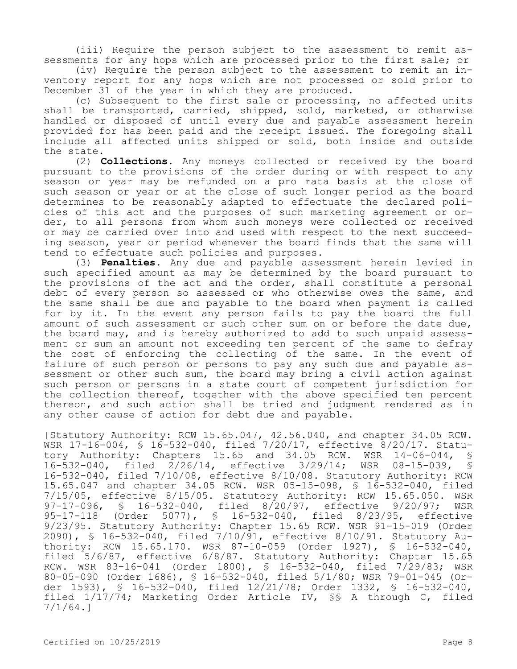(iii) Require the person subject to the assessment to remit assessments for any hops which are processed prior to the first sale; or

(iv) Require the person subject to the assessment to remit an inventory report for any hops which are not processed or sold prior to December 31 of the year in which they are produced.

(c) Subsequent to the first sale or processing, no affected units shall be transported, carried, shipped, sold, marketed, or otherwise handled or disposed of until every due and payable assessment herein provided for has been paid and the receipt issued. The foregoing shall include all affected units shipped or sold, both inside and outside the state.

(2) **Collections.** Any moneys collected or received by the board pursuant to the provisions of the order during or with respect to any season or year may be refunded on a pro rata basis at the close of such season or year or at the close of such longer period as the board determines to be reasonably adapted to effectuate the declared policies of this act and the purposes of such marketing agreement or order, to all persons from whom such moneys were collected or received or may be carried over into and used with respect to the next succeeding season, year or period whenever the board finds that the same will tend to effectuate such policies and purposes.

(3) **Penalties.** Any due and payable assessment herein levied in such specified amount as may be determined by the board pursuant to the provisions of the act and the order, shall constitute a personal debt of every person so assessed or who otherwise owes the same, and the same shall be due and payable to the board when payment is called for by it. In the event any person fails to pay the board the full amount of such assessment or such other sum on or before the date due, the board may, and is hereby authorized to add to such unpaid assessment or sum an amount not exceeding ten percent of the same to defray the cost of enforcing the collecting of the same. In the event of failure of such person or persons to pay any such due and payable assessment or other such sum, the board may bring a civil action against such person or persons in a state court of competent jurisdiction for the collection thereof, together with the above specified ten percent thereon, and such action shall be tried and judgment rendered as in any other cause of action for debt due and payable.

[Statutory Authority: RCW 15.65.047, 42.56.040, and chapter 34.05 RCW. WSR 17-16-004, § 16-532-040, filed 7/20/17, effective 8/20/17. Statu-<br>tory Authority: Chapters 15.65 and 34.05 RCW. WSR 14-06-044, § tory Authority: Chapters 15.65 and 34.05 RCW. WSR 14-06-044, 16-532-040, filed 2/26/14, effective 3/29/14; WSR 08-15-039, § 16-532-040, filed 7/10/08, effective 8/10/08. Statutory Authority: RCW 15.65.047 and chapter 34.05 RCW. WSR 05-15-098, § 16-532-040, filed 7/15/05, effective 8/15/05. Statutory Authority: RCW 15.65.050. WSR<br>97-17-096, § 16-532-040, filed 8/20/97, effective 9/20/97; WSR 97-17-096, § 16-532-040, filed 8/20/97, effective 9/20/97; WSR<br>95-17-118 (Order 5077), § 16-532-040, filed 8/23/95, effective (Order 5077), § 16-532-040, filed 8/23/95, effective 9/23/95. Statutory Authority: Chapter 15.65 RCW. WSR 91-15-019 (Order 2090), § 16-532-040, filed 7/10/91, effective 8/10/91. Statutory Authority: RCW 15.65.170. WSR 87-10-059 (Order 1927), § 16-532-040, filed 5/6/87, effective 6/8/87. Statutory Authority: Chapter 15.65 RCW. WSR 83-16-041 (Order 1800), § 16-532-040, filed 7/29/83; WSR 80-05-090 (Order 1686), § 16-532-040, filed 5/1/80; WSR 79-01-045 (Order 1593), § 16-532-040, filed 12/21/78; Order 1332, § 16-532-040, filed 1/17/74; Marketing Order Article IV, §§ A through C, filed 7/1/64.]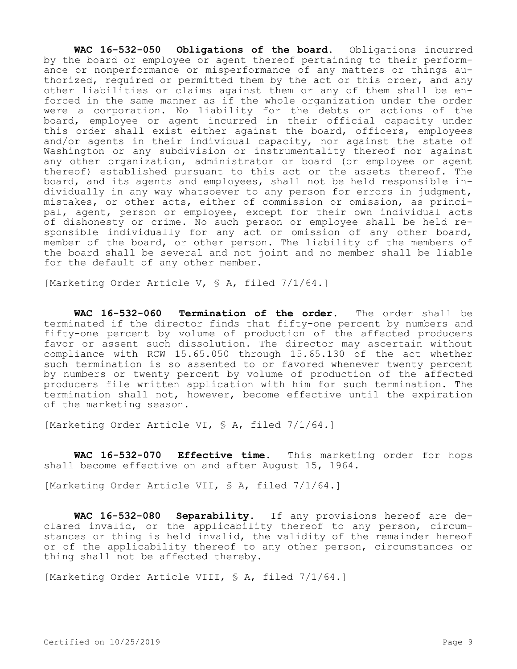**WAC 16-532-050 Obligations of the board.** Obligations incurred by the board or employee or agent thereof pertaining to their performance or nonperformance or misperformance of any matters or things authorized, required or permitted them by the act or this order, and any other liabilities or claims against them or any of them shall be enforced in the same manner as if the whole organization under the order were a corporation. No liability for the debts or actions of the board, employee or agent incurred in their official capacity under this order shall exist either against the board, officers, employees and/or agents in their individual capacity, nor against the state of Washington or any subdivision or instrumentality thereof nor against any other organization, administrator or board (or employee or agent thereof) established pursuant to this act or the assets thereof. The board, and its agents and employees, shall not be held responsible individually in any way whatsoever to any person for errors in judgment, mistakes, or other acts, either of commission or omission, as principal, agent, person or employee, except for their own individual acts of dishonesty or crime. No such person or employee shall be held responsible individually for any act or omission of any other board, member of the board, or other person. The liability of the members of the board shall be several and not joint and no member shall be liable for the default of any other member.

[Marketing Order Article V, § A, filed 7/1/64.]

**WAC 16-532-060 Termination of the order.** The order shall be terminated if the director finds that fifty-one percent by numbers and fifty-one percent by volume of production of the affected producers favor or assent such dissolution. The director may ascertain without compliance with RCW 15.65.050 through 15.65.130 of the act whether such termination is so assented to or favored whenever twenty percent by numbers or twenty percent by volume of production of the affected producers file written application with him for such termination. The termination shall not, however, become effective until the expiration of the marketing season.

[Marketing Order Article VI, § A, filed 7/1/64.]

**WAC 16-532-070 Effective time.** This marketing order for hops shall become effective on and after August 15, 1964.

[Marketing Order Article VII, § A, filed 7/1/64.]

**WAC 16-532-080 Separability.** If any provisions hereof are declared invalid, or the applicability thereof to any person, circumstances or thing is held invalid, the validity of the remainder hereof or of the applicability thereof to any other person, circumstances or thing shall not be affected thereby.

[Marketing Order Article VIII, § A, filed 7/1/64.]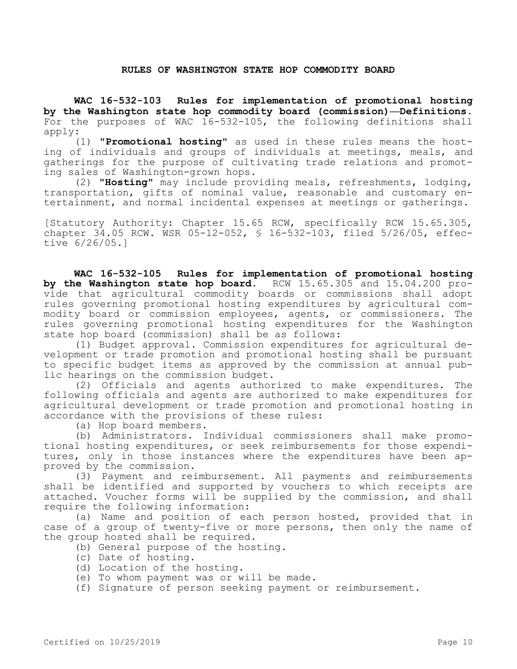### **RULES OF WASHINGTON STATE HOP COMMODITY BOARD**

**WAC 16-532-103 Rules for implementation of promotional hosting by the Washington state hop commodity board (commission)—Definitions.**  For the purposes of WAC 16-532-105, the following definitions shall apply:

(1) **"Promotional hosting"** as used in these rules means the hosting of individuals and groups of individuals at meetings, meals, and gatherings for the purpose of cultivating trade relations and promoting sales of Washington-grown hops.

(2) **"Hosting"** may include providing meals, refreshments, lodging, transportation, gifts of nominal value, reasonable and customary entertainment, and normal incidental expenses at meetings or gatherings.

[Statutory Authority: Chapter 15.65 RCW, specifically RCW 15.65.305, chapter 34.05 RCW. WSR 05-12-052, § 16-532-103, filed 5/26/05, effective 6/26/05.]

**WAC 16-532-105 Rules for implementation of promotional hosting by the Washington state hop board.** RCW 15.65.305 and 15.04.200 provide that agricultural commodity boards or commissions shall adopt rules governing promotional hosting expenditures by agricultural commodity board or commission employees, agents, or commissioners. The rules governing promotional hosting expenditures for the Washington state hop board (commission) shall be as follows:

(1) Budget approval. Commission expenditures for agricultural development or trade promotion and promotional hosting shall be pursuant to specific budget items as approved by the commission at annual public hearings on the commission budget.

(2) Officials and agents authorized to make expenditures. The following officials and agents are authorized to make expenditures for agricultural development or trade promotion and promotional hosting in accordance with the provisions of these rules:

(a) Hop board members.

(b) Administrators. Individual commissioners shall make promotional hosting expenditures, or seek reimbursements for those expenditures, only in those instances where the expenditures have been approved by the commission.

(3) Payment and reimbursement. All payments and reimbursements shall be identified and supported by vouchers to which receipts are attached. Voucher forms will be supplied by the commission, and shall require the following information:

(a) Name and position of each person hosted, provided that in case of a group of twenty-five or more persons, then only the name of the group hosted shall be required.

- (b) General purpose of the hosting.
- (c) Date of hosting.
- (d) Location of the hosting.
- (e) To whom payment was or will be made.

(f) Signature of person seeking payment or reimbursement.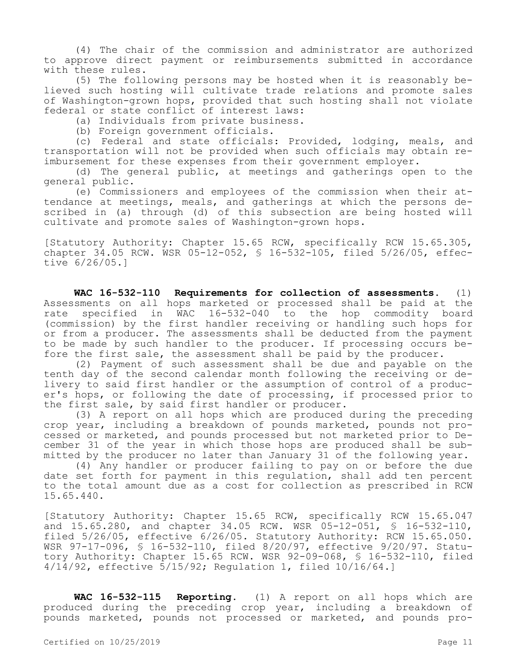(4) The chair of the commission and administrator are authorized to approve direct payment or reimbursements submitted in accordance with these rules.

(5) The following persons may be hosted when it is reasonably believed such hosting will cultivate trade relations and promote sales of Washington-grown hops, provided that such hosting shall not violate federal or state conflict of interest laws:

(a) Individuals from private business.

(b) Foreign government officials.

(c) Federal and state officials: Provided, lodging, meals, and transportation will not be provided when such officials may obtain reimbursement for these expenses from their government employer.

(d) The general public, at meetings and gatherings open to the general public.

(e) Commissioners and employees of the commission when their attendance at meetings, meals, and gatherings at which the persons described in (a) through (d) of this subsection are being hosted will cultivate and promote sales of Washington-grown hops.

[Statutory Authority: Chapter 15.65 RCW, specifically RCW 15.65.305, chapter 34.05 RCW. WSR 05-12-052, § 16-532-105, filed 5/26/05, effective 6/26/05.]

**WAC 16-532-110 Requirements for collection of assessments.** (1) Assessments on all hops marketed or processed shall be paid at the rate specified in WAC 16-532-040 to the hop commodity board (commission) by the first handler receiving or handling such hops for or from a producer. The assessments shall be deducted from the payment to be made by such handler to the producer. If processing occurs before the first sale, the assessment shall be paid by the producer.

(2) Payment of such assessment shall be due and payable on the tenth day of the second calendar month following the receiving or delivery to said first handler or the assumption of control of a producer's hops, or following the date of processing, if processed prior to the first sale, by said first handler or producer.

(3) A report on all hops which are produced during the preceding crop year, including a breakdown of pounds marketed, pounds not processed or marketed, and pounds processed but not marketed prior to December 31 of the year in which those hops are produced shall be submitted by the producer no later than January 31 of the following year.

(4) Any handler or producer failing to pay on or before the due date set forth for payment in this regulation, shall add ten percent to the total amount due as a cost for collection as prescribed in RCW 15.65.440.

[Statutory Authority: Chapter 15.65 RCW, specifically RCW 15.65.047 and 15.65.280, and chapter 34.05 RCW. WSR 05-12-051, § 16-532-110, filed 5/26/05, effective 6/26/05. Statutory Authority: RCW 15.65.050. WSR 97-17-096, § 16-532-110, filed 8/20/97, effective 9/20/97. Statutory Authority: Chapter 15.65 RCW. WSR 92-09-068, § 16-532-110, filed 4/14/92, effective 5/15/92; Regulation 1, filed 10/16/64.]

**WAC 16-532-115 Reporting.** (1) A report on all hops which are produced during the preceding crop year, including a breakdown of pounds marketed, pounds not processed or marketed, and pounds pro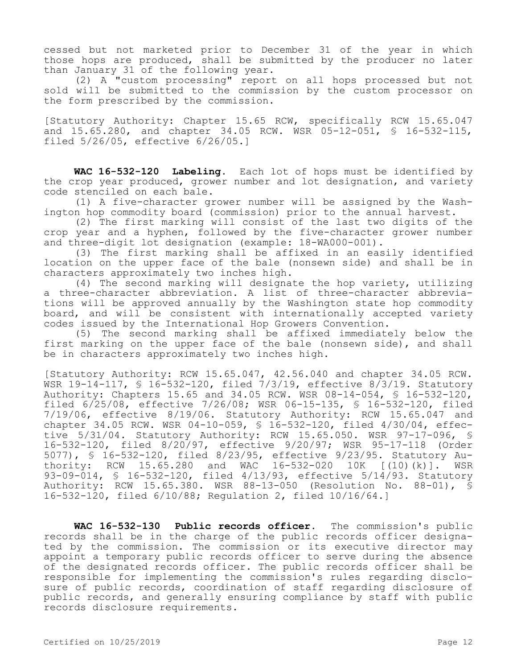cessed but not marketed prior to December 31 of the year in which those hops are produced, shall be submitted by the producer no later than January 31 of the following year.

(2) A "custom processing" report on all hops processed but not sold will be submitted to the commission by the custom processor on the form prescribed by the commission.

[Statutory Authority: Chapter 15.65 RCW, specifically RCW 15.65.047 and 15.65.280, and chapter 34.05 RCW. WSR 05-12-051, § 16-532-115, filed 5/26/05, effective 6/26/05.]

**WAC 16-532-120 Labeling.** Each lot of hops must be identified by the crop year produced, grower number and lot designation, and variety code stenciled on each bale.

(1) A five-character grower number will be assigned by the Washington hop commodity board (commission) prior to the annual harvest.

(2) The first marking will consist of the last two digits of the crop year and a hyphen, followed by the five-character grower number and three-digit lot designation (example: 18-WA000-001).

(3) The first marking shall be affixed in an easily identified location on the upper face of the bale (nonsewn side) and shall be in characters approximately two inches high.

(4) The second marking will designate the hop variety, utilizing a three-character abbreviation. A list of three-character abbreviations will be approved annually by the Washington state hop commodity board, and will be consistent with internationally accepted variety codes issued by the International Hop Growers Convention.

(5) The second marking shall be affixed immediately below the first marking on the upper face of the bale (nonsewn side), and shall be in characters approximately two inches high.

[Statutory Authority: RCW 15.65.047, 42.56.040 and chapter 34.05 RCW. WSR 19-14-117, § 16-532-120, filed 7/3/19, effective 8/3/19. Statutory Authority: Chapters 15.65 and 34.05 RCW. WSR 08-14-054, § 16-532-120, filed 6/25/08, effective 7/26/08; WSR 06-15-135, § 16-532-120, filed 7/19/06, effective 8/19/06. Statutory Authority: RCW 15.65.047 and chapter 34.05 RCW. WSR 04-10-059, § 16-532-120, filed 4/30/04, effective 5/31/04. Statutory Authority: RCW 15.65.050. WSR 97-17-096, § 16-532-120, filed 8/20/97, effective 9/20/97; WSR 95-17-118 (Order 5077), § 16-532-120, filed 8/23/95, effective 9/23/95. Statutory Authority: RCW 15.65.280 and WAC 16-532-020 10K [(10)(k)]. WSR 93-09-014, § 16-532-120, filed 4/13/93, effective 5/14/93. Statutory Authority: RCW 15.65.380. WSR 88-13-050 (Resolution No. 88-01), § 16-532-120, filed 6/10/88; Regulation 2, filed 10/16/64.]

**WAC 16-532-130 Public records officer.** The commission's public records shall be in the charge of the public records officer designated by the commission. The commission or its executive director may appoint a temporary public records officer to serve during the absence of the designated records officer. The public records officer shall be responsible for implementing the commission's rules regarding disclosure of public records, coordination of staff regarding disclosure of public records, and generally ensuring compliance by staff with public records disclosure requirements.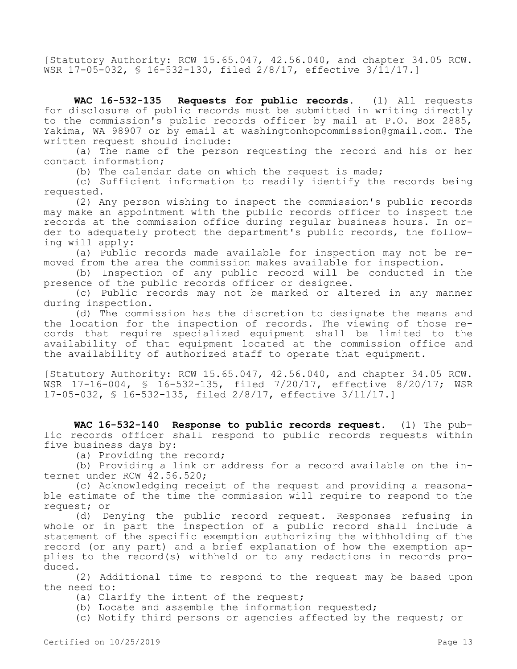[Statutory Authority: RCW 15.65.047, 42.56.040, and chapter 34.05 RCW. WSR 17-05-032, § 16-532-130, filed 2/8/17, effective 3/11/17.]

**WAC 16-532-135 Requests for public records.** (1) All requests for disclosure of public records must be submitted in writing directly to the commission's public records officer by mail at P.O. Box 2885, Yakima, WA 98907 or by email at washingtonhopcommission@gmail.com. The written request should include:

(a) The name of the person requesting the record and his or her contact information;

(b) The calendar date on which the request is made;

(c) Sufficient information to readily identify the records being requested.

(2) Any person wishing to inspect the commission's public records may make an appointment with the public records officer to inspect the records at the commission office during regular business hours. In order to adequately protect the department's public records, the following will apply:

(a) Public records made available for inspection may not be removed from the area the commission makes available for inspection.

(b) Inspection of any public record will be conducted in the presence of the public records officer or designee.

(c) Public records may not be marked or altered in any manner during inspection.

(d) The commission has the discretion to designate the means and the location for the inspection of records. The viewing of those records that require specialized equipment shall be limited to the availability of that equipment located at the commission office and the availability of authorized staff to operate that equipment.

[Statutory Authority: RCW 15.65.047, 42.56.040, and chapter 34.05 RCW. WSR 17-16-004, § 16-532-135, filed 7/20/17, effective 8/20/17; WSR 17-05-032, § 16-532-135, filed 2/8/17, effective 3/11/17.]

**WAC 16-532-140 Response to public records request.** (1) The public records officer shall respond to public records requests within five business days by:

(a) Providing the record;

(b) Providing a link or address for a record available on the internet under RCW 42.56.520;

(c) Acknowledging receipt of the request and providing a reasonable estimate of the time the commission will require to respond to the request; or

(d) Denying the public record request. Responses refusing in whole or in part the inspection of a public record shall include a statement of the specific exemption authorizing the withholding of the record (or any part) and a brief explanation of how the exemption applies to the record(s) withheld or to any redactions in records produced.

(2) Additional time to respond to the request may be based upon the need to:

- (a) Clarify the intent of the request;
- (b) Locate and assemble the information requested;
- (c) Notify third persons or agencies affected by the request; or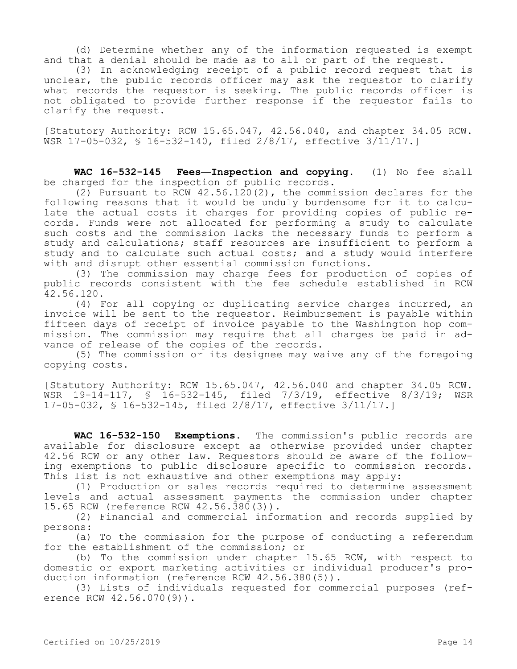(d) Determine whether any of the information requested is exempt and that a denial should be made as to all or part of the request.

(3) In acknowledging receipt of a public record request that is unclear, the public records officer may ask the requestor to clarify what records the requestor is seeking. The public records officer is not obligated to provide further response if the requestor fails to clarify the request.

[Statutory Authority: RCW 15.65.047, 42.56.040, and chapter 34.05 RCW. WSR 17-05-032, § 16-532-140, filed 2/8/17, effective 3/11/17.]

**WAC 16-532-145 Fees—Inspection and copying.** (1) No fee shall be charged for the inspection of public records.

(2) Pursuant to RCW 42.56.120(2), the commission declares for the following reasons that it would be unduly burdensome for it to calculate the actual costs it charges for providing copies of public records. Funds were not allocated for performing a study to calculate such costs and the commission lacks the necessary funds to perform a study and calculations; staff resources are insufficient to perform a study and to calculate such actual costs; and a study would interfere with and disrupt other essential commission functions.

(3) The commission may charge fees for production of copies of public records consistent with the fee schedule established in RCW 42.56.120.

(4) For all copying or duplicating service charges incurred, an invoice will be sent to the requestor. Reimbursement is payable within fifteen days of receipt of invoice payable to the Washington hop commission. The commission may require that all charges be paid in advance of release of the copies of the records.

(5) The commission or its designee may waive any of the foregoing copying costs.

[Statutory Authority: RCW 15.65.047, 42.56.040 and chapter 34.05 RCW. WSR 19-14-117, § 16-532-145, filed 7/3/19, effective 8/3/19; WSR 17-05-032, § 16-532-145, filed 2/8/17, effective 3/11/17.]

**WAC 16-532-150 Exemptions.** The commission's public records are available for disclosure except as otherwise provided under chapter 42.56 RCW or any other law. Requestors should be aware of the following exemptions to public disclosure specific to commission records. This list is not exhaustive and other exemptions may apply:

(1) Production or sales records required to determine assessment levels and actual assessment payments the commission under chapter 15.65 RCW (reference RCW 42.56.380(3)).

(2) Financial and commercial information and records supplied by persons:

(a) To the commission for the purpose of conducting a referendum for the establishment of the commission; or

(b) To the commission under chapter 15.65 RCW, with respect to domestic or export marketing activities or individual producer's production information (reference RCW 42.56.380(5)).

(3) Lists of individuals requested for commercial purposes (reference RCW 42.56.070(9)).